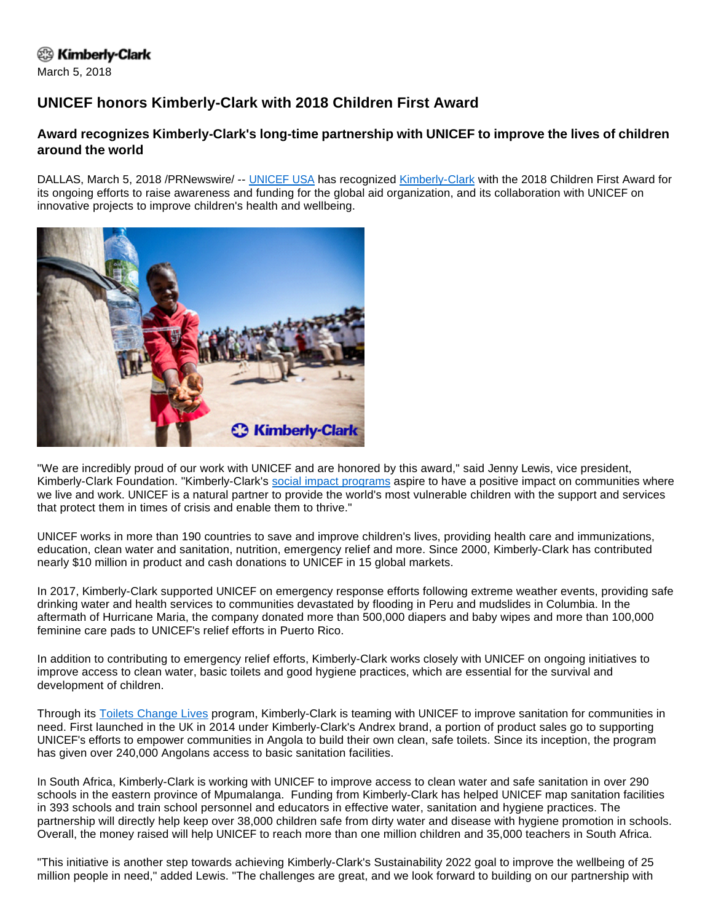## <sup>②</sup> Kimberly-Clark

March 5, 2018

## **UNICEF honors Kimberly-Clark with 2018 Children First Award**

## **Award recognizes Kimberly-Clark's long-time partnership with UNICEF to improve the lives of children around the world**

DALLAS, March 5, 2018 /PRNewswire/ -- [UNICEF USA](https://www.unicefusa.org/) has recognized [Kimberly-Clark](http://www.kimberly-clark.com/) with the 2018 Children First Award for its ongoing efforts to raise awareness and funding for the global aid organization, and its collaboration with UNICEF on innovative projects to improve children's health and wellbeing.



"We are incredibly proud of our work with UNICEF and are honored by this award," said Jenny Lewis, vice president, Kimberly-Clark Foundation. "Kimberly-Clark's [social impact programs](https://www.sustainability2022.com/en/five-priorities/social-impact) aspire to have a positive impact on communities where we live and work. UNICEF is a natural partner to provide the world's most vulnerable children with the support and services that protect them in times of crisis and enable them to thrive."

UNICEF works in more than 190 countries to save and improve children's lives, providing health care and immunizations, education, clean water and sanitation, nutrition, emergency relief and more. Since 2000, Kimberly-Clark has contributed nearly \$10 million in product and cash donations to UNICEF in 15 global markets.

In 2017, Kimberly-Clark supported UNICEF on emergency response efforts following extreme weather events, providing safe drinking water and health services to communities devastated by flooding in Peru and mudslides in Columbia. In the aftermath of Hurricane Maria, the company donated more than 500,000 diapers and baby wipes and more than 100,000 feminine care pads to UNICEF's relief efforts in Puerto Rico.

In addition to contributing to emergency relief efforts, Kimberly-Clark works closely with UNICEF on ongoing initiatives to improve access to clean water, basic toilets and good hygiene practices, which are essential for the survival and development of children.

Through its **Toilets Change Lives program, Kimberly-Clark is teaming with UNICEF to improve sanitation for communities in** need. First launched in the UK in 2014 under Kimberly-Clark's Andrex brand, a portion of product sales go to supporting UNICEF's efforts to empower communities in Angola to build their own clean, safe toilets. Since its inception, the program has given over 240,000 Angolans access to basic sanitation facilities.

In South Africa, Kimberly-Clark is working with UNICEF to improve access to clean water and safe sanitation in over 290 schools in the eastern province of Mpumalanga. Funding from Kimberly-Clark has helped UNICEF map sanitation facilities in 393 schools and train school personnel and educators in effective water, sanitation and hygiene practices. The partnership will directly help keep over 38,000 children safe from dirty water and disease with hygiene promotion in schools. Overall, the money raised will help UNICEF to reach more than one million children and 35,000 teachers in South Africa.

"This initiative is another step towards achieving Kimberly-Clark's Sustainability 2022 goal to improve the wellbeing of 25 million people in need," added Lewis. "The challenges are great, and we look forward to building on our partnership with